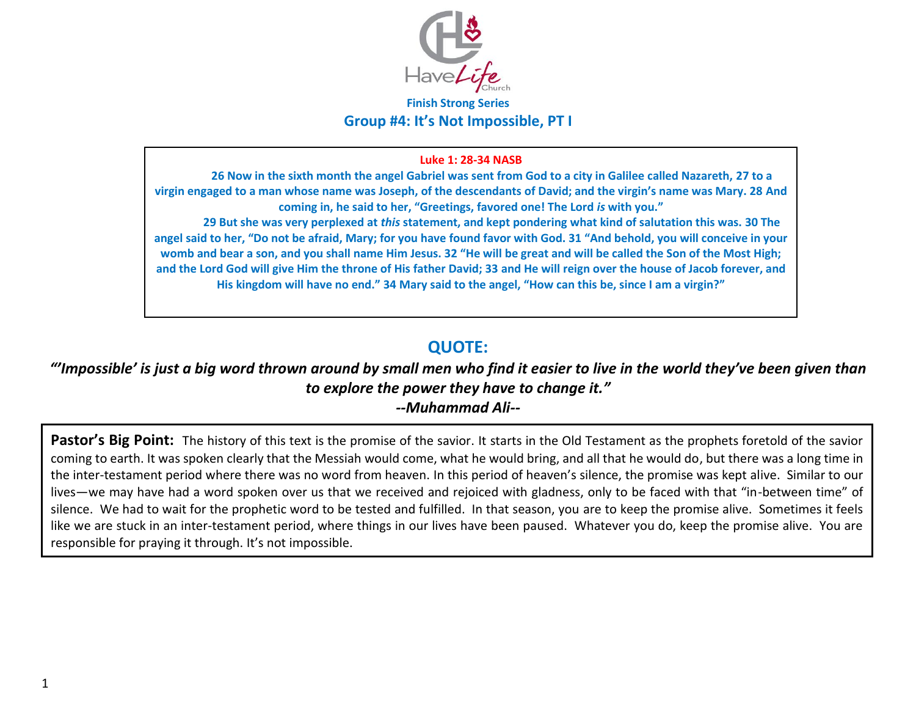

#### **Finish Strong Series Group #4: It's Not Impossible, PT I**

#### **Luke 1: 28-34 NASB**

**26 Now in the sixth month the angel Gabriel was sent from God to a city in Galilee called Nazareth, 27 to a virgin engaged to a man whose name was Joseph, of the descendants of David; and the virgin's name was Mary. 28 And coming in, he said to her, "Greetings, favored one! The Lord** *is* **with you." 29 But she was very perplexed at** *this* **statement, and kept pondering what kind of salutation this was. 30 The angel said to her, "Do not be afraid, Mary; for you have found favor with God. 31 "And behold, you will conceive in your womb and bear a son, and you shall name Him Jesus. 32 "He will be great and will be called the Son of the Most High; and the Lord God will give Him the throne of His father David; 33 and He will reign over the house of Jacob forever, and His kingdom will have no end." 34 Mary said to the angel, "How can this be, since I am a virgin?"** 

### **QUOTE:**

## *"'Impossible' is just a big word thrown around by small men who find it easier to live in the world they've been given than to explore the power they have to change it."*

*--Muhammad Ali--* 

Pastor's Big Point: The history of this text is the promise of the savior. It starts in the Old Testament as the prophets foretold of the savior coming to earth. It was spoken clearly that the Messiah would come, what he would bring, and all that he would do, but there was a long time in the inter-testament period where there was no word from heaven. In this period of heaven's silence, the promise was kept alive. Similar to our lives—we may have had a word spoken over us that we received and rejoiced with gladness, only to be faced with that "in-between time" of silence. We had to wait for the prophetic word to be tested and fulfilled. In that season, you are to keep the promise alive. Sometimes it feels like we are stuck in an inter-testament period, where things in our lives have been paused. Whatever you do, keep the promise alive. You are responsible for praying it through. It's not impossible.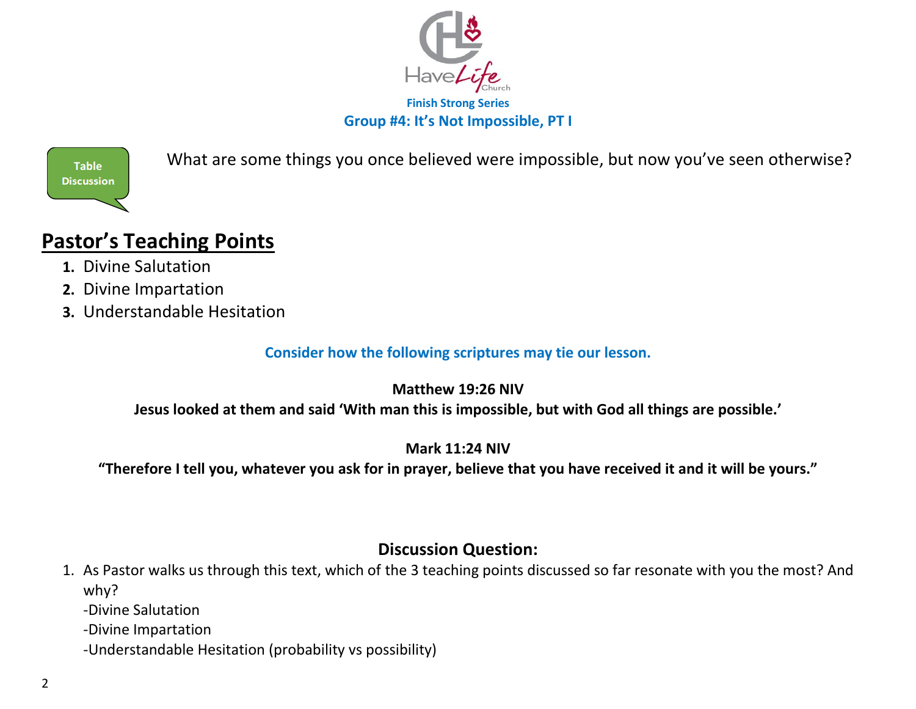



What are some things you once believed were impossible, but now you've seen otherwise?

# **Pastor's Teaching Points**

- **1.** Divine Salutation
- **2.** Divine Impartation
- **3.** Understandable Hesitation

**Consider how the following scriptures may tie our lesson.**

**Matthew 19:26 NIV**

**Jesus looked at them and said 'With man this is impossible, but with God all things are possible.'**

### **Mark 11:24 NIV**

**"Therefore I tell you, whatever you ask for in prayer, believe that you have received it and it will be yours."**

## **Discussion Question:**

- 1. As Pastor walks us through this text, which of the 3 teaching points discussed so far resonate with you the most? And why?
	- -Divine Salutation
	- -Divine Impartation
	- -Understandable Hesitation (probability vs possibility)